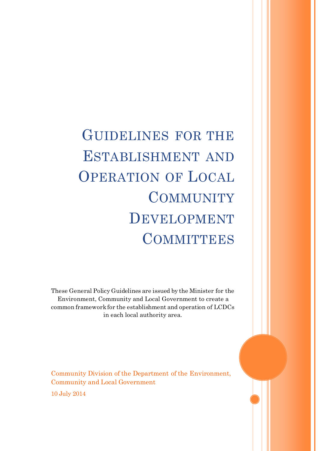GUIDELINES FOR THE ESTABLISHMENT AND OPERATION OF LOCAL **COMMUNITY** DEVELOPMENT **COMMITTEES** 

These General Policy Guidelines are issued by the Minister for the Environment, Community and Local Government to create a common framework for the establishment and operation of LCDCs in each local authority area.

Community Division of the Department of the Environment, Community and Local Government

10 July 2014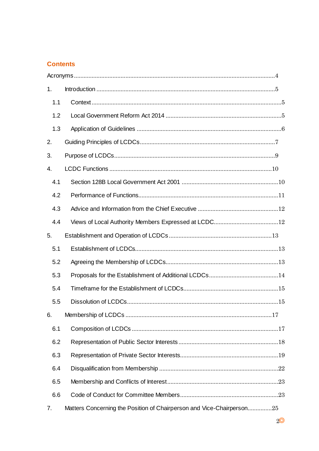### **Contents**

| 1.  |                                                                       |
|-----|-----------------------------------------------------------------------|
| 1.1 |                                                                       |
| 1.2 |                                                                       |
| 1.3 |                                                                       |
| 2.  |                                                                       |
| 3.  |                                                                       |
| 4.  |                                                                       |
| 4.1 |                                                                       |
| 4.2 |                                                                       |
| 4.3 |                                                                       |
| 4.4 |                                                                       |
| 5.  |                                                                       |
| 5.1 |                                                                       |
| 5.2 |                                                                       |
| 5.3 |                                                                       |
| 5.4 |                                                                       |
| 5.5 |                                                                       |
| 6.  |                                                                       |
| 6.1 |                                                                       |
| 6.2 |                                                                       |
| 6.3 |                                                                       |
| 6.4 |                                                                       |
| 6.5 |                                                                       |
| 6.6 |                                                                       |
| 7.  | Matters Concerning the Position of Chairperson and Vice-Chairperson25 |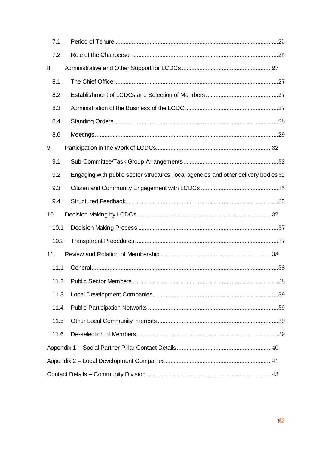| 7.1  |                                                                                     |
|------|-------------------------------------------------------------------------------------|
| 7.2  |                                                                                     |
| 8.   |                                                                                     |
| 8.1  |                                                                                     |
| 8.2  |                                                                                     |
| 8.3  |                                                                                     |
| 8.4  |                                                                                     |
| 8.6  |                                                                                     |
| 9.   |                                                                                     |
| 9.1  |                                                                                     |
| 9.2  | Engaging with public sector structures, local agencies and other delivery bodies 32 |
| 9.3  |                                                                                     |
| 9.4  |                                                                                     |
|      |                                                                                     |
| 10.  |                                                                                     |
| 10.1 |                                                                                     |
| 10.2 |                                                                                     |
| 11.  |                                                                                     |
| 11.1 |                                                                                     |
| 11.2 |                                                                                     |
| 11.3 |                                                                                     |
| 11.4 |                                                                                     |
| 11.5 |                                                                                     |
| 11.6 |                                                                                     |
|      |                                                                                     |
|      |                                                                                     |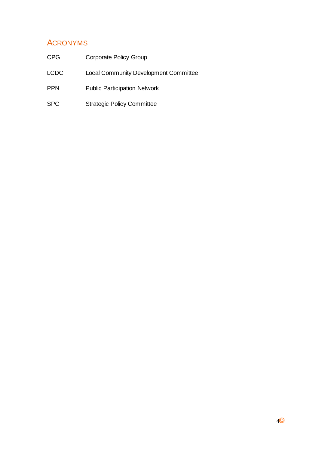# <span id="page-3-0"></span>ACRONYMS

| CPG        | Corporate Policy Group                       |
|------------|----------------------------------------------|
| LCDC       | <b>Local Community Development Committee</b> |
| <b>PPN</b> | <b>Public Participation Network</b>          |
| SPC        | <b>Strategic Policy Committee</b>            |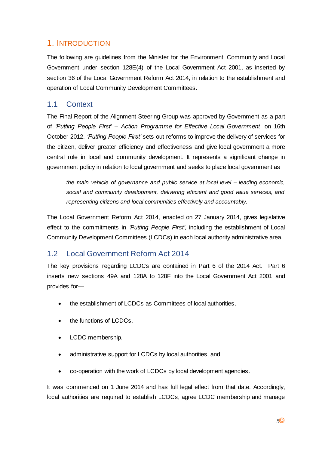# <span id="page-4-0"></span>1. INTRODUCTION

The following are guidelines from the Minister for the Environment, Community and Local Government under section 128E(4) of the Local Government Act 2001, as inserted by section 36 of the Local Government Reform Act 2014, in relation to the establishment and operation of Local Community Development Committees.

### <span id="page-4-1"></span>1.1 Context

The Final Report of the Alignment Steering Group was approved by Government as a part of *'Putting People First' – Action Programme for Effective Local Government*, on 16th October 2012. *'Putting People First'* sets out reforms to improve the delivery of services for the citizen, deliver greater efficiency and effectiveness and give local government a more central role in local and community development. It represents a significant change in government policy in relation to local government and seeks to place local government as

*the main vehicle of governance and public service at local level – leading economic, social and community development, delivering efficient and good value services, and representing citizens and local communities effectively and accountably.*

The Local Government Reform Act 2014, enacted on 27 January 2014, gives legislative effect to the commitments in *'Putting People First'*, including the establishment of Local Community Development Committees (LCDCs) in each local authority administrative area.

## <span id="page-4-2"></span>1.2 Local Government Reform Act 2014

The key provisions regarding LCDCs are contained in Part 6 of the 2014 Act. Part 6 inserts new sections 49A and 128A to 128F into the Local Government Act 2001 and provides for—

- the establishment of LCDCs as Committees of local authorities,
- the functions of LCDCs,
- LCDC membership,
- administrative support for LCDCs by local authorities, and
- co-operation with the work of LCDCs by local development agencies.

It was commenced on 1 June 2014 and has full legal effect from that date. Accordingly, local authorities are required to establish LCDCs, agree LCDC membership and manage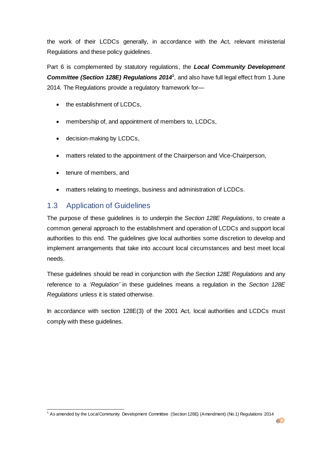the work of their LCDCs generally, in accordance with the Act, relevant ministerial Regulations and these policy guidelines.

Part 6 is complemented by statutory regulations, the *Local Community Development Committee (Section 128E) Regulations 2014<sup>1</sup>* , and also have full legal effect from 1 June 2014. The Regulations provide a regulatory framework for—

- the establishment of LCDCs,
- membership of, and appointment of members to, LCDCs,
- decision-making by LCDCs,
- matters related to the appointment of the Chairperson and Vice-Chairperson,
- tenure of members, and
- matters relating to meetings, business and administration of LCDCs.

### <span id="page-5-0"></span>1.3 Application of Guidelines

The purpose of these guidelines is to underpin the *Section 128E Regulations*, to create a common general approach to the establishment and operation of LCDCs and support local authorities to this end. The guidelines give local authorities some discretion to develop and implement arrangements that take into account local circumstances and best meet local needs.

These guidelines should be read in conjunction with *the Section 128E Regulations* and any reference to a '*Regulation'* in these guidelines means a regulation in the *Section 128E Regulations* unless it is stated otherwise.

In accordance with section 128E(3) of the 2001 Act, local authorities and LCDCs must comply with these guidelines.

l <sup>1</sup> As amended by the Local Community Development Committee (Section 128E) (Amendment) (No.1) Regulations 2014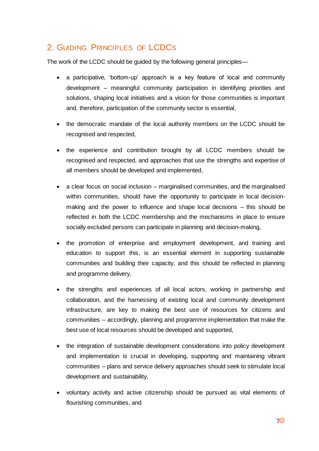# <span id="page-6-0"></span>2. GUIDING PRINCIPLES OF LCDCS

The work of the LCDC should be guided by the following general principles—

- a participative, 'bottom-up' approach is a key feature of local and community development – meaningful community participation in identifying priorities and solutions, shaping local initiatives and a vision for those communities is important and, therefore, participation of the community sector is essential,
- the democratic mandate of the local authority members on the LCDC should be recognised and respected,
- the experience and contribution brought by all LCDC members should be recognised and respected, and approaches that use the strengths and expertise of all members should be developed and implemented,
- a clear focus on social inclusion marginalised communities, and the marginalised within communities, should have the opportunity to participate in local decisionmaking and the power to influence and shape local decisions – this should be reflected in both the LCDC membership and the mechanisms in place to ensure socially excluded persons can participate in planning and decision-making,
- the promotion of enterprise and employment development, and training and education to support this, is an essential element in supporting sustainable communities and building their capacity, and this should be reflected in planning and programme delivery,
- the strengths and experiences of all local actors, working in partnership and collaboration, and the harnessing of existing local and community development infrastructure, are key to making the best use of resources for citizens and communities – accordingly, planning and programme implementation that make the best use of local resources should be developed and supported,
- the integration of sustainable development considerations into policy development and implementation is crucial in developing, supporting and maintaining vibrant communities – plans and service delivery approaches should seek to stimulate local development and sustainability,
- voluntary activity and active citizenship should be pursued as vital elements of flourishing communities, and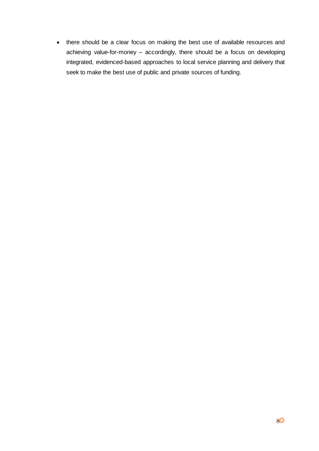there should be a clear focus on making the best use of available resources and achieving value-for-money – accordingly, there should be a focus on developing integrated, evidenced-based approaches to local service planning and delivery that seek to make the best use of public and private sources of funding.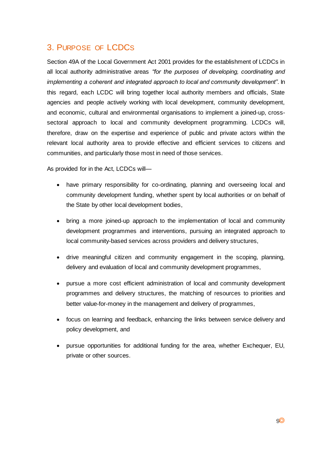# <span id="page-8-0"></span>3. PURPOSE OF LCDCS

Section 49A of the Local Government Act 2001 provides for the establishment of LCDCs in all local authority administrative areas *"for the purposes of developing, coordinating and implementing a coherent and integrated approach to local and community development"*. In this regard, each LCDC will bring together local authority members and officials, State agencies and people actively working with local development, community development, and economic, cultural and environmental organisations to implement a joined-up, crosssectoral approach to local and community development programming. LCDCs will, therefore, draw on the expertise and experience of public and private actors within the relevant local authority area to provide effective and efficient services to citizens and communities, and particularly those most in need of those services.

As provided for in the Act, LCDCs will—

- have primary responsibility for co-ordinating, planning and overseeing local and community development funding, whether spent by local authorities or on behalf of the State by other local development bodies,
- bring a more joined-up approach to the implementation of local and community development programmes and interventions, pursuing an integrated approach to local community-based services across providers and delivery structures,
- drive meaningful citizen and community engagement in the scoping, planning, delivery and evaluation of local and community development programmes,
- pursue a more cost efficient administration of local and community development programmes and delivery structures, the matching of resources to priorities and better value-for-money in the management and delivery of programmes,
- focus on learning and feedback, enhancing the links between service delivery and policy development, and
- pursue opportunities for additional funding for the area, whether Exchequer, EU, private or other sources.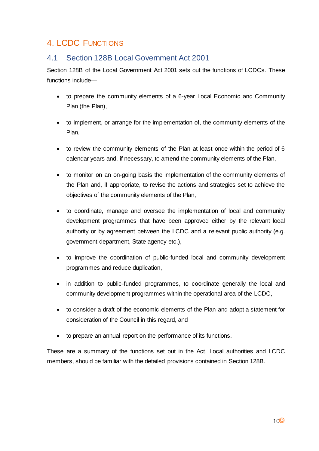# <span id="page-9-0"></span>4. LCDC FUNCTIONS

## <span id="page-9-1"></span>4.1 Section 128B Local Government Act 2001

Section 128B of the Local Government Act 2001 sets out the functions of LCDCs. These functions include—

- to prepare the community elements of a 6-year Local Economic and Community Plan (the Plan),
- to implement, or arrange for the implementation of, the community elements of the Plan,
- to review the community elements of the Plan at least once within the period of 6 calendar years and, if necessary, to amend the community elements of the Plan,
- to monitor on an on-going basis the implementation of the community elements of the Plan and, if appropriate, to revise the actions and strategies set to achieve the objectives of the community elements of the Plan,
- to coordinate, manage and oversee the implementation of local and community development programmes that have been approved either by the relevant local authority or by agreement between the LCDC and a relevant public authority (e.g. government department, State agency etc.),
- to improve the coordination of public-funded local and community development programmes and reduce duplication,
- in addition to public-funded programmes, to coordinate generally the local and community development programmes within the operational area of the LCDC,
- to consider a draft of the economic elements of the Plan and adopt a statement for consideration of the Council in this regard, and
- to prepare an annual report on the performance of its functions.

These are a summary of the functions set out in the Act. Local authorities and LCDC members, should be familiar with the detailed provisions contained in Section 128B.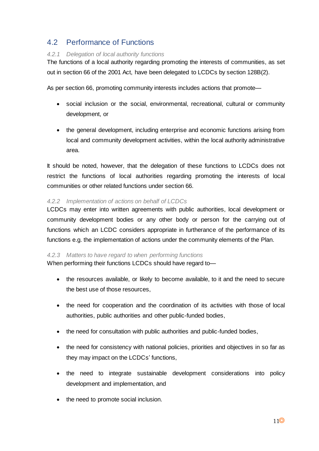# <span id="page-10-0"></span>4.2 Performance of Functions

### *4.2.1 Delegation of local authority functions*

The functions of a local authority regarding promoting the interests of communities, as set out in section 66 of the 2001 Act, have been delegated to LCDCs by section 128B(2).

As per section 66, promoting community interests includes actions that promote—

- social inclusion or the social, environmental, recreational, cultural or community development, or
- the general development, including enterprise and economic functions arising from local and community development activities, within the local authority administrative area.

It should be noted, however, that the delegation of these functions to LCDCs does not restrict the functions of local authorities regarding promoting the interests of local communities or other related functions under section 66.

### *4.2.2 Implementation of actions on behalf of LCDCs*

LCDCs may enter into written agreements with public authorities, local development or community development bodies or any other body or person for the carrying out of functions which an LCDC considers appropriate in furtherance of the performance of its functions e.g. the implementation of actions under the community elements of the Plan.

#### *4.2.3 Matters to have regard to when performing functions*

When performing their functions LCDCs should have regard to—

- the resources available, or likely to become available, to it and the need to secure the best use of those resources,
- the need for cooperation and the coordination of its activities with those of local authorities, public authorities and other public-funded bodies,
- the need for consultation with public authorities and public-funded bodies,
- the need for consistency with national policies, priorities and objectives in so far as they may impact on the LCDCs' functions,
- the need to integrate sustainable development considerations into policy development and implementation, and
- the need to promote social inclusion.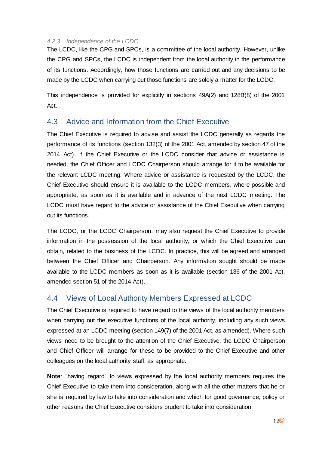#### *4.2.3 Independence of the LCDC*

The LCDC, like the CPG and SPCs, is a committee of the local authority. However, unlike the CPG and SPCs, the LCDC is independent from the local authority in the performance of its functions. Accordingly, how those functions are carried out and any decisions to be made by the LCDC when carrying out those functions are solely a matter for the LCDC.

This independence is provided for explicitly in sections 49A(2) and 128B(8) of the 2001 Act.

### <span id="page-11-0"></span>4.3 Advice and Information from the Chief Executive

The Chief Executive is required to advise and assist the LCDC generally as regards the performance of its functions (section 132(3) of the 2001 Act, amended by section 47 of the 2014 Act). If the Chief Executive or the LCDC consider that advice or assistance is needed, the Chief Officer and LCDC Chairperson should arrange for it to be available for the relevant LCDC meeting. Where advice or assistance is requested by the LCDC, the Chief Executive should ensure it is available to the LCDC members, where possible and appropriate, as soon as it is available and in advance of the next LCDC meeting. The LCDC must have regard to the advice or assistance of the Chief Executive when carrying out its functions.

The LCDC, or the LCDC Chairperson, may also request the Chief Executive to provide information in the possession of the local authority, or which the Chief Executive can obtain, related to the business of the LCDC. In practice, this will be agreed and arranged between the Chief Officer and Chairperson. Any information sought should be made available to the LCDC members as soon as it is available (section 136 of the 2001 Act, amended section 51 of the 2014 Act).

### <span id="page-11-1"></span>4.4 Views of Local Authority Members Expressed at LCDC

The Chief Executive is required to have regard to the views of the local authority members when carrying out the executive functions of the local authority, including any such views expressed at an LCDC meeting (section 149(7) of the 2001 Act, as amended). Where such views need to be brought to the attention of the Chief Executive, the LCDC Chairperson and Chief Officer will arrange for these to be provided to the Chief Executive and other colleagues on the local authority staff, as appropriate.

**Note**: "having regard" to views expressed by the local authority members requires the Chief Executive to take them into consideration, along with all the other matters that he or she is required by law to take into consideration and which for good governance, policy or other reasons the Chief Executive considers prudent to take into consideration.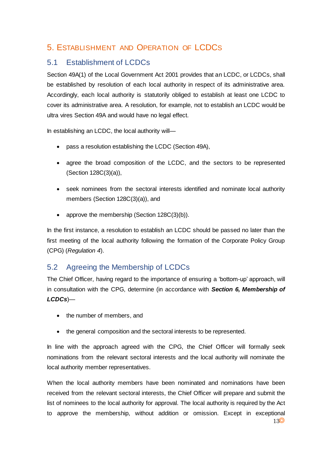# <span id="page-12-0"></span>5. ESTABLISHMENT AND OPERATION OF LCDCS

# <span id="page-12-1"></span>5.1 Establishment of LCDCs

Section 49A(1) of the Local Government Act 2001 provides that an LCDC, or LCDCs, shall be established by resolution of each local authority in respect of its administrative area. Accordingly, each local authority is statutorily obliged to establish at least one LCDC to cover its administrative area. A resolution, for example, not to establish an LCDC would be ultra vires Section 49A and would have no legal effect.

In establishing an LCDC, the local authority will-

- pass a resolution establishing the LCDC (Section 49A),
- agree the broad composition of the LCDC, and the sectors to be represented (Section 128C(3)(a)),
- seek nominees from the sectoral interests identified and nominate local authority members (Section 128C(3)(a)), and
- approve the membership (Section 128C(3)(b)).

In the first instance, a resolution to establish an LCDC should be passed no later than the first meeting of the local authority following the formation of the Corporate Policy Group (CPG) (*Regulation 4*).

# <span id="page-12-2"></span>5.2 Agreeing the Membership of LCDCs

The Chief Officer, having regard to the importance of ensuring a 'bottom-up' approach, will in consultation with the CPG, determine (in accordance with *Section 6, Membership of LCDCs*)—

- the number of members, and
- the general composition and the sectoral interests to be represented.

In line with the approach agreed with the CPG, the Chief Officer will formally seek nominations from the relevant sectoral interests and the local authority will nominate the local authority member representatives.

When the local authority members have been nominated and nominations have been received from the relevant sectoral interests, the Chief Officer will prepare and submit the list of nominees to the local authority for approval. The local authority is required by the Act to approve the membership, without addition or omission. Except in exceptional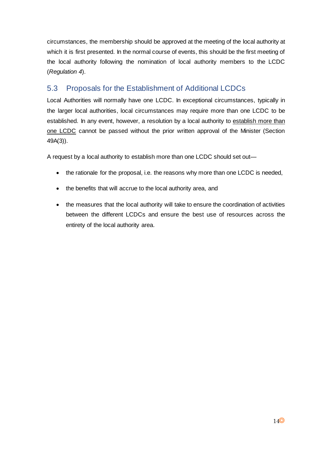circumstances, the membership should be approved at the meeting of the local authority at which it is first presented. In the normal course of events, this should be the first meeting of the local authority following the nomination of local authority members to the LCDC (*Regulation 4*).

# <span id="page-13-0"></span>5.3 Proposals for the Establishment of Additional LCDCs

Local Authorities will normally have one LCDC. In exceptional circumstances, typically in the larger local authorities, local circumstances may require more than one LCDC to be established. In any event, however, a resolution by a local authority to establish more than one LCDC cannot be passed without the prior written approval of the Minister (Section 49A(3)).

A request by a local authority to establish more than one LCDC should set out—

- the rationale for the proposal, i.e. the reasons why more than one LCDC is needed,
- the benefits that will accrue to the local authority area, and
- the measures that the local authority will take to ensure the coordination of activities between the different LCDCs and ensure the best use of resources across the entirety of the local authority area.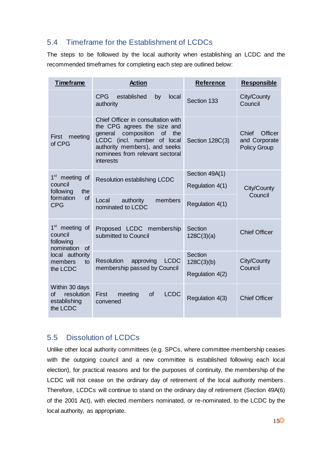# <span id="page-14-0"></span>5.4 Timeframe for the Establishment of LCDCs

The steps to be followed by the local authority when establishing an LCDC and the recommended timeframes for completing each step are outlined below:

| <b>Timeframe</b>                                                                 | <b>Action</b>                                                                                                                                                                                                         | <b>Reference</b>                         | <b>Responsible</b>                                       |
|----------------------------------------------------------------------------------|-----------------------------------------------------------------------------------------------------------------------------------------------------------------------------------------------------------------------|------------------------------------------|----------------------------------------------------------|
|                                                                                  | <b>CPG</b><br>established<br>by<br>local<br>authority                                                                                                                                                                 | Section 133                              | City/County<br>Council                                   |
| meeting<br><b>First</b><br>of CPG                                                | Chief Officer in consultation with<br>the CPG agrees the size and<br>composition of<br>general<br>the<br>LCDC (incl. number of local<br>authority members), and seeks<br>nominees from relevant sectoral<br>interests | Section 128C(3)                          | Officer<br>Chief<br>and Corporate<br><b>Policy Group</b> |
| 1 <sup>st</sup><br>meeting of                                                    | Resolution establishing LCDC                                                                                                                                                                                          | Section 49A(1)                           |                                                          |
| council<br>following<br>the                                                      |                                                                                                                                                                                                                       | Regulation 4(1)                          | City/County                                              |
| formation<br><b>of</b><br><b>CPG</b>                                             | authority<br>Local<br>members<br>nominated to LCDC                                                                                                                                                                    | Regulation 4(1)                          | Council                                                  |
| 1 <sup>st</sup><br>meeting of<br>council<br>following<br>nomination<br><b>of</b> | Proposed LCDC membership<br>submitted to Council                                                                                                                                                                      | Section<br>128C(3)(a)                    | <b>Chief Officer</b>                                     |
| local authority<br>members<br>to<br>the LCDC                                     | <b>Resolution</b><br>approving<br><b>LCDC</b><br>membership passed by Council                                                                                                                                         | Section<br>128C(3)(b)<br>Regulation 4(2) | City/County<br>Council                                   |
| Within 30 days<br>resolution<br><b>of</b><br>establishing<br>the LCDC            | <b>LCDC</b><br>meeting<br>of<br><b>First</b><br>convened                                                                                                                                                              | Regulation 4(3)                          | <b>Chief Officer</b>                                     |

# <span id="page-14-1"></span>5.5 Dissolution of LCDCs

Unlike other local authority committees (e.g. SPCs, where committee membership ceases with the outgoing council and a new committee is established following each local election), for practical reasons and for the purposes of continuity, the membership of the LCDC will not cease on the ordinary day of retirement of the local authority members. Therefore, LCDCs will continue to stand on the ordinary day of retirement (Section 49A(6) of the 2001 Act), with elected members nominated, or re-nominated, to the LCDC by the local authority, as appropriate.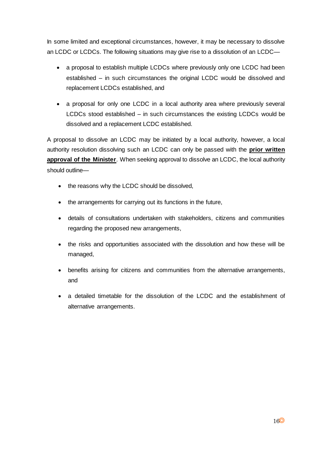In some limited and exceptional circumstances, however, it may be necessary to dissolve an LCDC or LCDCs. The following situations may give rise to a dissolution of an LCDC—

- a proposal to establish multiple LCDCs where previously only one LCDC had been established – in such circumstances the original LCDC would be dissolved and replacement LCDCs established, and
- a proposal for only one LCDC in a local authority area where previously several LCDCs stood established – in such circumstances the existing LCDCs would be dissolved and a replacement LCDC established.

A proposal to dissolve an LCDC may be initiated by a local authority, however, a local authority resolution dissolving such an LCDC can only be passed with the **prior written approval of the Minister**. When seeking approval to dissolve an LCDC, the local authority should outline—

- the reasons why the LCDC should be dissolved,
- the arrangements for carrying out its functions in the future,
- details of consultations undertaken with stakeholders, citizens and communities regarding the proposed new arrangements,
- the risks and opportunities associated with the dissolution and how these will be managed,
- benefits arising for citizens and communities from the alternative arrangements, and
- a detailed timetable for the dissolution of the LCDC and the establishment of alternative arrangements.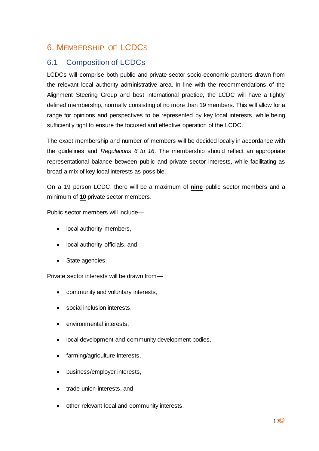# <span id="page-16-0"></span>6. MEMBERSHIP OF LCDCS

# <span id="page-16-1"></span>6.1 Composition of LCDCs

LCDCs will comprise both public and private sector socio-economic partners drawn from the relevant local authority administrative area. In line with the recommendations of the Alignment Steering Group and best international practice, the LCDC will have a tightly defined membership, normally consisting of no more than 19 members. This will allow for a range for opinions and perspectives to be represented by key local interests, while being sufficiently tight to ensure the focused and effective operation of the LCDC.

The exact membership and number of members will be decided locally in accordance with the guidelines and *Regulations 6 to 16*. The membership should reflect an appropriate representational balance between public and private sector interests, while facilitating as broad a mix of key local interests as possible.

On a 19 person LCDC, there will be a maximum of **nine** public sector members and a minimum of **10** private sector members.

Public sector members will include—

- local authority members,
- local authority officials, and
- State agencies.

Private sector interests will be drawn from—

- community and voluntary interests,
- social inclusion interests,
- environmental interests,
- local development and community development bodies,
- farming/agriculture interests,
- business/employer interests,
- trade union interests, and
- other relevant local and community interests.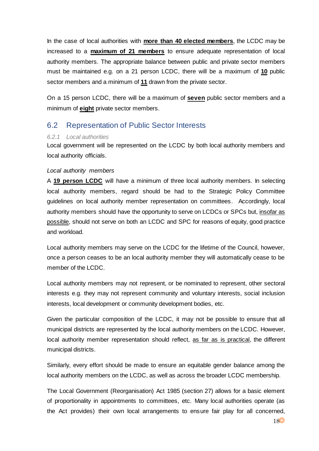In the case of local authorities with **more than 40 elected members**, the LCDC may be increased to a **maximum of 21 members** to ensure adequate representation of local authority members. The appropriate balance between public and private sector members must be maintained e.g. on a 21 person LCDC, there will be a maximum of **10** public sector members and a minimum of **11** drawn from the private sector.

On a 15 person LCDC, there will be a maximum of **seven** public sector members and a minimum of **eight** private sector members.

### <span id="page-17-0"></span>6.2 Representation of Public Sector Interests

#### *6.2.1 Local authorities*

Local government will be represented on the LCDC by both local authority members and local authority officials.

#### *Local authority members*

A **19 person LCDC** will have a minimum of three local authority members. In selecting local authority members, regard should be had to the Strategic Policy Committee guidelines on local authority member representation on committees. Accordingly, local authority members should have the opportunity to serve on LCDCs or SPCs but, insofar as possible, should not serve on both an LCDC and SPC for reasons of equity, good practice and workload.

Local authority members may serve on the LCDC for the lifetime of the Council, however, once a person ceases to be an local authority member they will automatically cease to be member of the LCDC.

Local authority members may not represent, or be nominated to represent, other sectoral interests e.g. they may not represent community and voluntary interests, social inclusion interests, local development or community development bodies, etc.

Given the particular composition of the LCDC, it may not be possible to ensure that all municipal districts are represented by the local authority members on the LCDC. However, local authority member representation should reflect, as far as is practical, the different municipal districts.

Similarly, every effort should be made to ensure an equitable gender balance among the local authority members on the LCDC, as well as across the broader LCDC membership.

The Local Government (Reorganisation) Act 1985 (section 27) allows for a basic element of proportionality in appointments to committees, etc. Many local authorities operate (as the Act provides) their own local arrangements to ensure fair play for all concerned,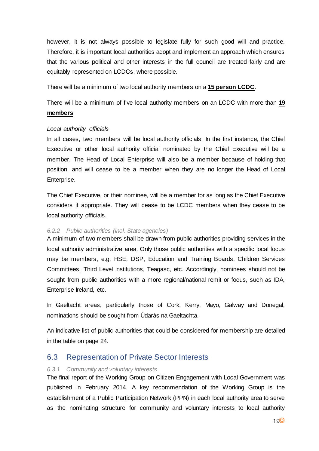however, it is not always possible to legislate fully for such good will and practice. Therefore, it is important local authorities adopt and implement an approach which ensures that the various political and other interests in the full council are treated fairly and are equitably represented on LCDCs, where possible.

There will be a minimum of two local authority members on a **15 person LCDC**.

There will be a minimum of five local authority members on an LCDC with more than **19 members**.

#### *Local authority officials*

In all cases, two members will be local authority officials. In the first instance, the Chief Executive or other local authority official nominated by the Chief Executive will be a member. The Head of Local Enterprise will also be a member because of holding that position, and will cease to be a member when they are no longer the Head of Local Enterprise.

The Chief Executive, or their nominee, will be a member for as long as the Chief Executive considers it appropriate. They will cease to be LCDC members when they cease to be local authority officials.

#### *6.2.2 Public authorities (incl. State agencies)*

A minimum of two members shall be drawn from public authorities providing services in the local authority administrative area. Only those public authorities with a specific local focus may be members, e.g. HSE, DSP, Education and Training Boards, Children Services Committees, Third Level Institutions, Teagasc, etc. Accordingly, nominees should not be sought from public authorities with a more regional/national remit or focus, such as IDA, Enterprise Ireland, etc.

In Gaeltacht areas, particularly those of Cork, Kerry, Mayo, Galway and Donegal, nominations should be sought from Údarás na Gaeltachta.

An indicative list of public authorities that could be considered for membership are detailed in the table on page 24.

### <span id="page-18-0"></span>6.3 Representation of Private Sector Interests

#### *6.3.1 Community and voluntary interests*

The final report of the Working Group on Citizen Engagement with Local Government was published in February 2014. A key recommendation of the Working Group is the establishment of a Public Participation Network (PPN) in each local authority area to serve as the nominating structure for community and voluntary interests to local authority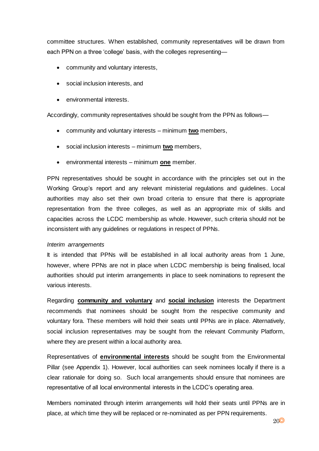committee structures. When established, community representatives will be drawn from each PPN on a three 'college' basis, with the colleges representing—

- community and voluntary interests,
- social inclusion interests, and
- environmental interests.

Accordingly, community representatives should be sought from the PPN as follows—

- community and voluntary interests minimum **two** members,
- social inclusion interests minimum **two** members,
- environmental interests minimum **one** member.

PPN representatives should be sought in accordance with the principles set out in the Working Group's report and any relevant ministerial regulations and guidelines. Local authorities may also set their own broad criteria to ensure that there is appropriate representation from the three colleges, as well as an appropriate mix of skills and capacities across the LCDC membership as whole. However, such criteria should not be inconsistent with any guidelines or regulations in respect of PPNs.

#### *Interim arrangements*

It is intended that PPNs will be established in all local authority areas from 1 June, however, where PPNs are not in place when LCDC membership is being finalised, local authorities should put interim arrangements in place to seek nominations to represent the various interests.

Regarding **community and voluntary** and **social inclusion** interests the Department recommends that nominees should be sought from the respective community and voluntary fora. These members will hold their seats until PPNs are in place. Alternatively, social inclusion representatives may be sought from the relevant Community Platform, where they are present within a local authority area.

Representatives of **environmental interests** should be sought from the Environmental Pillar (see Appendix 1). However, local authorities can seek nominees locally if there is a clear rationale for doing so. Such local arrangements should ensure that nominees are representative of all local environmental interests in the LCDC's operating area.

Members nominated through interim arrangements will hold their seats until PPNs are in place, at which time they will be replaced or re-nominated as per PPN requirements.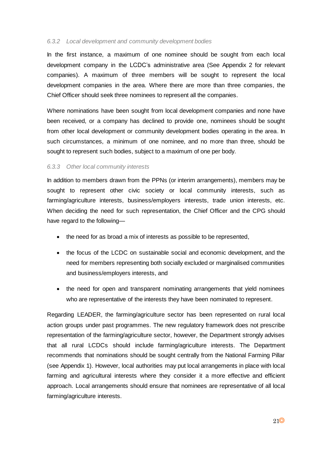#### *6.3.2 Local development and community development bodies*

In the first instance, a maximum of one nominee should be sought from each local development company in the LCDC's administrative area (See Appendix 2 for relevant companies). A maximum of three members will be sought to represent the local development companies in the area. Where there are more than three companies, the Chief Officer should seek three nominees to represent all the companies.

Where nominations have been sought from local development companies and none have been received, or a company has declined to provide one, nominees should be sought from other local development or community development bodies operating in the area. In such circumstances, a minimum of one nominee, and no more than three, should be sought to represent such bodies, subject to a maximum of one per body.

#### *6.3.3 Other local community interests*

In addition to members drawn from the PPNs (or interim arrangements), members may be sought to represent other civic society or local community interests, such as farming/agriculture interests, business/employers interests, trade union interests, etc. When deciding the need for such representation, the Chief Officer and the CPG should have regard to the following—

- the need for as broad a mix of interests as possible to be represented,
- the focus of the LCDC on sustainable social and economic development, and the need for members representing both socially excluded or marginalised communities and business/employers interests, and
- the need for open and transparent nominating arrangements that yield nominees who are representative of the interests they have been nominated to represent.

Regarding LEADER, the farming/agriculture sector has been represented on rural local action groups under past programmes. The new regulatory framework does not prescribe representation of the farming/agriculture sector, however, the Department strongly advises that all rural LCDCs should include farming/agriculture interests. The Department recommends that nominations should be sought centrally from the National Farming Pillar (see Appendix 1). However, local authorities may put local arrangements in place with local farming and agricultural interests where they consider it a more effective and efficient approach. Local arrangements should ensure that nominees are representative of all local farming/agriculture interests.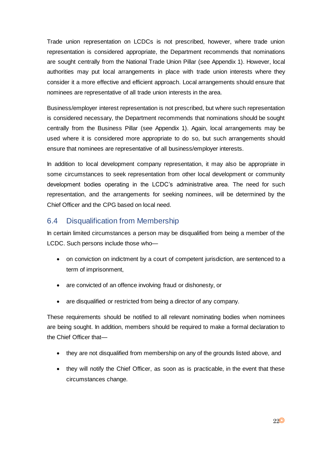Trade union representation on LCDCs is not prescribed, however, where trade union representation is considered appropriate, the Department recommends that nominations are sought centrally from the National Trade Union Pillar (see Appendix 1). However, local authorities may put local arrangements in place with trade union interests where they consider it a more effective and efficient approach. Local arrangements should ensure that nominees are representative of all trade union interests in the area.

Business/employer interest representation is not prescribed, but where such representation is considered necessary, the Department recommends that nominations should be sought centrally from the Business Pillar (see Appendix 1). Again, local arrangements may be used where it is considered more appropriate to do so, but such arrangements should ensure that nominees are representative of all business/employer interests.

In addition to local development company representation, it may also be appropriate in some circumstances to seek representation from other local development or community development bodies operating in the LCDC's administrative area. The need for such representation, and the arrangements for seeking nominees, will be determined by the Chief Officer and the CPG based on local need.

## <span id="page-21-0"></span>6.4 Disqualification from Membership

In certain limited circumstances a person may be disqualified from being a member of the LCDC. Such persons include those who—

- on conviction on indictment by a court of competent jurisdiction, are sentenced to a term of imprisonment,
- are convicted of an offence involving fraud or dishonesty, or
- are disqualified or restricted from being a director of any company.

These requirements should be notified to all relevant nominating bodies when nominees are being sought. In addition, members should be required to make a formal declaration to the Chief Officer that—

- they are not disqualified from membership on any of the grounds listed above, and
- they will notify the Chief Officer, as soon as is practicable, in the event that these circumstances change.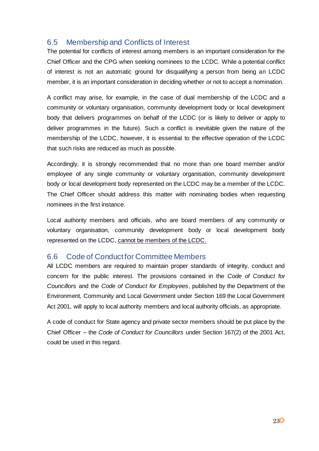# <span id="page-22-0"></span>6.5 Membership and Conflicts of Interest

The potential for conflicts of interest among members is an important consideration for the Chief Officer and the CPG when seeking nominees to the LCDC. While a potential conflict of interest is not an automatic ground for disqualifying a person from being an LCDC member, it is an important consideration in deciding whether or not to accept a nomination.

A conflict may arise, for example, in the case of dual membership of the LCDC and a community or voluntary organisation, community development body or local development body that delivers programmes on behalf of the LCDC (or is likely to deliver or apply to deliver programmes in the future). Such a conflict is inevitable given the nature of the membership of the LCDC, however, it is essential to the effective operation of the LCDC that such risks are reduced as much as possible.

Accordingly, it is strongly recommended that no more than one board member and/or employee of any single community or voluntary organisation, community development body or local development body represented on the LCDC may be a member of the LCDC. The Chief Officer should address this matter with nominating bodies when requesting nominees in the first instance.

Local authority members and officials, who are board members of any community or voluntary organisation, community development body or local development body represented on the LCDC, cannot be members of the LCDC.

## <span id="page-22-1"></span>6.6 Code of Conduct for Committee Members

All LCDC members are required to maintain proper standards of integrity, conduct and concern for the public interest. The provisions contained in the *Code of Conduct for Councillors* and the *Code of Conduct for Employees*, published by the Department of the Environment, Community and Local Government under Section 169 the Local Government Act 2001, will apply to local authority members and local authority officials, as appropriate.

A code of conduct for State agency and private sector members should be put place by the Chief Officer – the *Code of Conduct for Councillors* under Section 167(2) of the 2001 Act, could be used in this regard.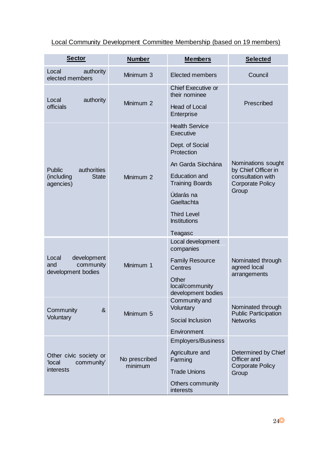Local Community Development Committee Membership (based on 19 members)

| <b>Sector</b>                                                  | <b>Number</b>            | <b>Members</b>                                 | <b>Selected</b>                                               |
|----------------------------------------------------------------|--------------------------|------------------------------------------------|---------------------------------------------------------------|
| authority<br>Local<br>elected members                          | Minimum 3                | <b>Elected members</b>                         | Council                                                       |
| Local<br>authority                                             | Minimum 2                | <b>Chief Executive or</b><br>their nominee     | Prescribed                                                    |
| officials                                                      |                          | <b>Head of Local</b><br>Enterprise             |                                                               |
|                                                                |                          | <b>Health Service</b><br><b>Executive</b>      |                                                               |
|                                                                |                          | Dept. of Social<br>Protection                  |                                                               |
| authorities<br><b>Public</b>                                   |                          | An Garda Síochána                              | Nominations sought<br>by Chief Officer in                     |
| (including<br><b>State</b><br>agencies)                        | Minimum 2                | <b>Education and</b><br><b>Training Boards</b> | consultation with<br><b>Corporate Policy</b>                  |
|                                                                |                          | Údarás na<br>Gaeltachta                        | Group                                                         |
|                                                                |                          | <b>Third Level</b><br><b>Institutions</b>      |                                                               |
|                                                                |                          | Teagasc                                        |                                                               |
|                                                                |                          | Local development<br>companies                 |                                                               |
| development<br>Local<br>community<br>and<br>development bodies | Minimum 1                | <b>Family Resource</b><br>Centres              | Nominated through<br>agreed local                             |
|                                                                |                          | Other<br>local/community<br>development bodies | arrangements                                                  |
| $\boldsymbol{\alpha}$<br>Community                             | Minimum 5                | Community and<br>Voluntary                     | Nominated through<br><b>Public Participation</b>              |
| Voluntary                                                      |                          | Social Inclusion                               | <b>Networks</b>                                               |
|                                                                |                          | Environment                                    |                                                               |
|                                                                |                          | <b>Employers/Business</b>                      |                                                               |
| Other civic society or<br>'local<br>community'                 | No prescribed<br>minimum | Agriculture and<br>Farming                     | Determined by Chief<br>Officer and<br><b>Corporate Policy</b> |
| interests                                                      |                          | <b>Trade Unions</b>                            | Group                                                         |
|                                                                |                          | Others community<br>interests                  |                                                               |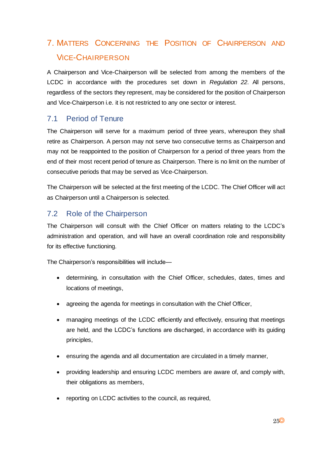# <span id="page-24-0"></span>7. MATTERS CONCERNING THE POSITION OF CHAIRPERSON AND VICE-CHAIRPERSON

A Chairperson and Vice-Chairperson will be selected from among the members of the LCDC in accordance with the procedures set down in *Regulation 22*. All persons, regardless of the sectors they represent, may be considered for the position of Chairperson and Vice-Chairperson i.e. it is not restricted to any one sector or interest.

## <span id="page-24-1"></span>7.1 Period of Tenure

The Chairperson will serve for a maximum period of three years, whereupon they shall retire as Chairperson. A person may not serve two consecutive terms as Chairperson and may not be reappointed to the position of Chairperson for a period of three years from the end of their most recent period of tenure as Chairperson. There is no limit on the number of consecutive periods that may be served as Vice-Chairperson.

The Chairperson will be selected at the first meeting of the LCDC. The Chief Officer will act as Chairperson until a Chairperson is selected.

## <span id="page-24-2"></span>7.2 Role of the Chairperson

The Chairperson will consult with the Chief Officer on matters relating to the LCDC's administration and operation, and will have an overall coordination role and responsibility for its effective functioning.

The Chairperson's responsibilities will include—

- determining, in consultation with the Chief Officer, schedules, dates, times and locations of meetings,
- agreeing the agenda for meetings in consultation with the Chief Officer,
- managing meetings of the LCDC efficiently and effectively, ensuring that meetings are held, and the LCDC's functions are discharged, in accordance with its guiding principles,
- ensuring the agenda and all documentation are circulated in a timely manner,
- providing leadership and ensuring LCDC members are aware of, and comply with, their obligations as members,
- reporting on LCDC activities to the council, as required,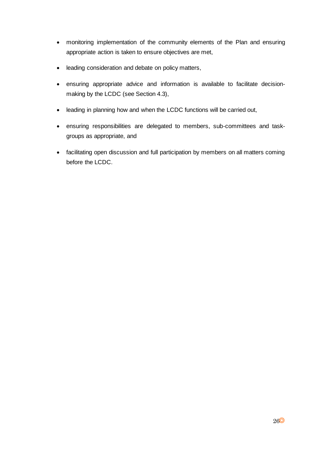- monitoring implementation of the community elements of the Plan and ensuring appropriate action is taken to ensure objectives are met,
- leading consideration and debate on policy matters,
- ensuring appropriate advice and information is available to facilitate decisionmaking by the LCDC (see Section 4.3),
- leading in planning how and when the LCDC functions will be carried out,
- ensuring responsibilities are delegated to members, sub-committees and taskgroups as appropriate, and
- facilitating open discussion and full participation by members on all matters coming before the LCDC.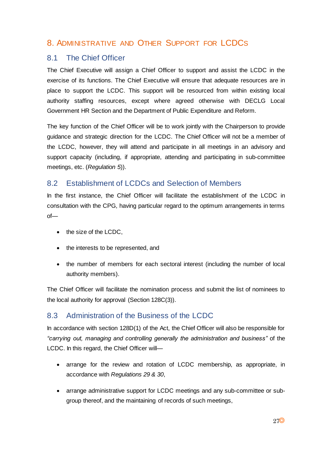# <span id="page-26-0"></span>8. ADMINISTRATIVE AND OTHER SUPPORT FOR LCDCS

### <span id="page-26-1"></span>8.1 The Chief Officer

The Chief Executive will assign a Chief Officer to support and assist the LCDC in the exercise of its functions. The Chief Executive will ensure that adequate resources are in place to support the LCDC. This support will be resourced from within existing local authority staffing resources, except where agreed otherwise with DECLG Local Government HR Section and the Department of Public Expenditure and Reform.

The key function of the Chief Officer will be to work jointly with the Chairperson to provide guidance and strategic direction for the LCDC. The Chief Officer will not be a member of the LCDC, however, they will attend and participate in all meetings in an advisory and support capacity (including, if appropriate, attending and participating in sub-committee meetings, etc. (*Regulation 5*)).

## <span id="page-26-2"></span>8.2 Establishment of LCDCs and Selection of Members

In the first instance, the Chief Officer will facilitate the establishment of the LCDC in consultation with the CPG, having particular regard to the optimum arrangements in terms of—

- the size of the LCDC,
- the interests to be represented, and
- the number of members for each sectoral interest (including the number of local authority members).

The Chief Officer will facilitate the nomination process and submit the list of nominees to the local authority for approval (Section 128C(3)).

## <span id="page-26-3"></span>8.3 Administration of the Business of the LCDC

In accordance with section 128D(1) of the Act, the Chief Officer will also be responsible for *"carrying out, managing and controlling generally the administration and business"* of the LCDC. In this regard, the Chief Officer will—

- arrange for the review and rotation of LCDC membership, as appropriate, in accordance with *Regulations 29 & 30*,
- arrange administrative support for LCDC meetings and any sub-committee or subgroup thereof, and the maintaining of records of such meetings,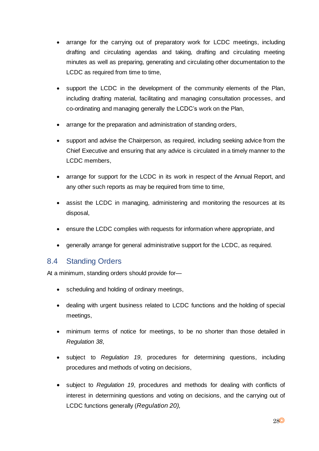- arrange for the carrying out of preparatory work for LCDC meetings, including drafting and circulating agendas and taking, drafting and circulating meeting minutes as well as preparing, generating and circulating other documentation to the LCDC as required from time to time,
- support the LCDC in the development of the community elements of the Plan, including drafting material, facilitating and managing consultation processes, and co-ordinating and managing generally the LCDC's work on the Plan,
- arrange for the preparation and administration of standing orders,
- support and advise the Chairperson, as required, including seeking advice from the Chief Executive and ensuring that any advice is circulated in a timely manner to the LCDC members,
- arrange for support for the LCDC in its work in respect of the Annual Report, and any other such reports as may be required from time to time,
- assist the LCDC in managing, administering and monitoring the resources at its disposal,
- ensure the LCDC complies with requests for information where appropriate, and
- generally arrange for general administrative support for the LCDC, as required.

### <span id="page-27-0"></span>8.4 Standing Orders

At a minimum, standing orders should provide for—

- scheduling and holding of ordinary meetings,
- dealing with urgent business related to LCDC functions and the holding of special meetings,
- minimum terms of notice for meetings, to be no shorter than those detailed in *Regulation 38*,
- subject to *Regulation 19*, procedures for determining questions, including procedures and methods of voting on decisions,
- subject to *Regulation 19*, procedures and methods for dealing with conflicts of interest in determining questions and voting on decisions, and the carrying out of LCDC functions generally (*Regulation 20),*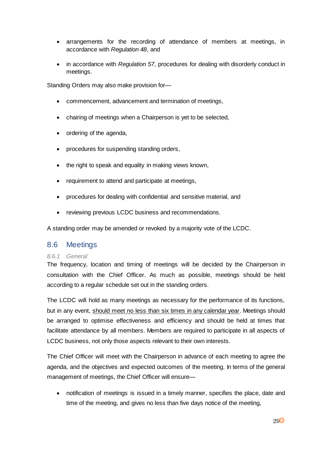- arrangements for the recording of attendance of members at meetings, in accordance with *Regulation 48*, and
- in accordance with *Regulation 57*, procedures for dealing with disorderly conduct in meetings.

Standing Orders may also make provision for—

- commencement, advancement and termination of meetings,
- chairing of meetings when a Chairperson is yet to be selected,
- ordering of the agenda,
- procedures for suspending standing orders,
- the right to speak and equality in making views known,
- requirement to attend and participate at meetings,
- procedures for dealing with confidential and sensitive material, and
- reviewing previous LCDC business and recommendations.

A standing order may be amended or revoked by a majority vote of the LCDC.

### <span id="page-28-0"></span>8.6 Meetings

#### *8.6.1 General*

The frequency, location and timing of meetings will be decided by the Chairperson in consultation with the Chief Officer. As much as possible, meetings should be held according to a regular schedule set out in the standing orders.

The LCDC will hold as many meetings as necessary for the performance of its functions, but in any event, should meet no less than six times in any calendar year. Meetings should be arranged to optimise effectiveness and efficiency and should be held at times that facilitate attendance by all members. Members are required to participate in all aspects of LCDC business, not only those aspects relevant to their own interests.

The Chief Officer will meet with the Chairperson in advance of each meeting to agree the agenda, and the objectives and expected outcomes of the meeting. In terms of the general management of meetings, the Chief Officer will ensure—

 notification of meetings is issued in a timely manner, specifies the place, date and time of the meeting, and gives no less than five days notice of the meeting,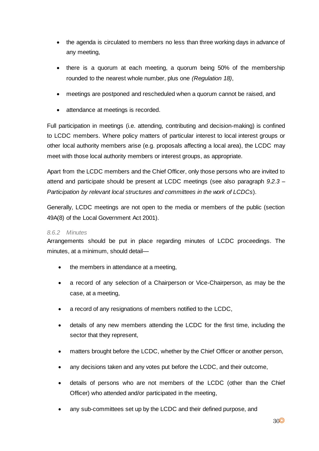- the agenda is circulated to members no less than three working days in advance of any meeting,
- there is a quorum at each meeting, a quorum being 50% of the membership rounded to the nearest whole number, plus one *(Regulation 18)*,
- meetings are postponed and rescheduled when a quorum cannot be raised, and
- attendance at meetings is recorded.

Full participation in meetings (i.e. attending, contributing and decision-making) is confined to LCDC members. Where policy matters of particular interest to local interest groups or other local authority members arise (e.g. proposals affecting a local area), the LCDC may meet with those local authority members or interest groups, as appropriate.

Apart from the LCDC members and the Chief Officer, only those persons who are invited to attend and participate should be present at LCDC meetings (see also paragraph *9.2.3 – Participation by relevant local structures and committees in the work of LCDCs*).

Generally, LCDC meetings are not open to the media or members of the public (section 49A(8) of the Local Government Act 2001).

#### *8.6.2 Minutes*

Arrangements should be put in place regarding minutes of LCDC proceedings. The minutes, at a minimum, should detail—

- the members in attendance at a meeting,
- a record of any selection of a Chairperson or Vice-Chairperson, as may be the case, at a meeting,
- a record of any resignations of members notified to the LCDC,
- details of any new members attending the LCDC for the first time, including the sector that they represent,
- matters brought before the LCDC, whether by the Chief Officer or another person,
- any decisions taken and any votes put before the LCDC, and their outcome,
- details of persons who are not members of the LCDC (other than the Chief Officer) who attended and/or participated in the meeting,
- any sub-committees set up by the LCDC and their defined purpose, and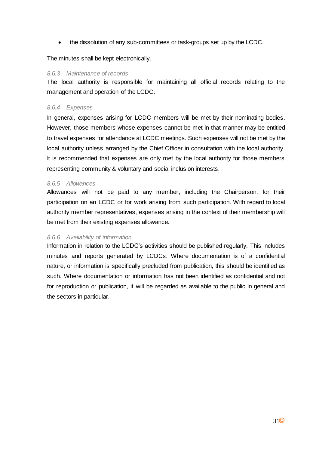the dissolution of any sub-committees or task-groups set up by the LCDC.

The minutes shall be kept electronically.

#### *8.6.3 Maintenance of records*

The local authority is responsible for maintaining all official records relating to the management and operation of the LCDC.

#### *8.6.4 Expenses*

In general, expenses arising for LCDC members will be met by their nominating bodies. However, those members whose expenses cannot be met in that manner may be entitled to travel expenses for attendance at LCDC meetings. Such expenses will not be met by the local authority unless arranged by the Chief Officer in consultation with the local authority. It is recommended that expenses are only met by the local authority for those members representing community & voluntary and social inclusion interests.

#### *8.6.5 Allowances*

Allowances will not be paid to any member, including the Chairperson, for their participation on an LCDC or for work arising from such participation. With regard to local authority member representatives, expenses arising in the context of their membership will be met from their existing expenses allowance.

#### *8.6.6 Availability of information*

Information in relation to the LCDC's activities should be published regularly. This includes minutes and reports generated by LCDCs. Where documentation is of a confidential nature, or information is specifically precluded from publication, this should be identified as such. Where documentation or information has not been identified as confidential and not for reproduction or publication, it will be regarded as available to the public in general and the sectors in particular.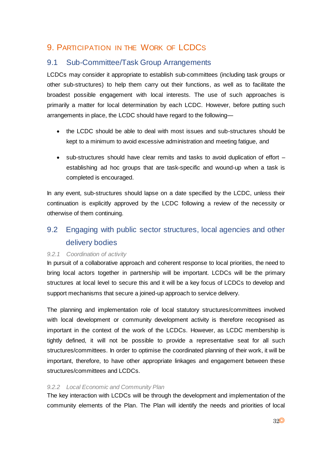# <span id="page-31-0"></span>9. PARTICIPATION IN THE WORK OF LCDCS

## <span id="page-31-1"></span>9.1 Sub-Committee/Task Group Arrangements

LCDCs may consider it appropriate to establish sub-committees (including task groups or other sub-structures) to help them carry out their functions, as well as to facilitate the broadest possible engagement with local interests. The use of such approaches is primarily a matter for local determination by each LCDC. However, before putting such arrangements in place, the LCDC should have regard to the following—

- the LCDC should be able to deal with most issues and sub-structures should be kept to a minimum to avoid excessive administration and meeting fatigue, and
- sub-structures should have clear remits and tasks to avoid duplication of effort establishing ad hoc groups that are task-specific and wound-up when a task is completed is encouraged.

In any event, sub-structures should lapse on a date specified by the LCDC, unless their continuation is explicitly approved by the LCDC following a review of the necessity or otherwise of them continuing.

# <span id="page-31-2"></span>9.2 Engaging with public sector structures, local agencies and other delivery bodies

### *9.2.1 Coordination of activity*

In pursuit of a collaborative approach and coherent response to local priorities, the need to bring local actors together in partnership will be important. LCDCs will be the primary structures at local level to secure this and it will be a key focus of LCDCs to develop and support mechanisms that secure a joined-up approach to service delivery.

The planning and implementation role of local statutory structures/committees involved with local development or community development activity is therefore recognised as important in the context of the work of the LCDCs. However, as LCDC membership is tightly defined, it will not be possible to provide a representative seat for all such structures/committees. In order to optimise the coordinated planning of their work, it will be important, therefore, to have other appropriate linkages and engagement between these structures/committees and LCDCs.

### *9.2.2 Local Economic and Community Plan*

The key interaction with LCDCs will be through the development and implementation of the community elements of the Plan. The Plan will identify the needs and priorities of local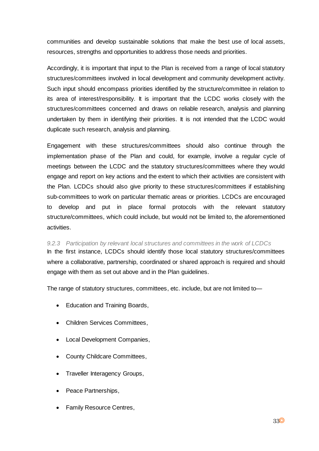communities and develop sustainable solutions that make the best use of local assets, resources, strengths and opportunities to address those needs and priorities.

Accordingly, it is important that input to the Plan is received from a range of local statutory structures/committees involved in local development and community development activity. Such input should encompass priorities identified by the structure/committee in relation to its area of interest/responsibility. It is important that the LCDC works closely with the structures/committees concerned and draws on reliable research, analysis and planning undertaken by them in identifying their priorities. It is not intended that the LCDC would duplicate such research, analysis and planning.

Engagement with these structures/committees should also continue through the implementation phase of the Plan and could, for example, involve a regular cycle of meetings between the LCDC and the statutory structures/committees where they would engage and report on key actions and the extent to which their activities are consistent with the Plan. LCDCs should also give priority to these structures/committees if establishing sub-committees to work on particular thematic areas or priorities. LCDCs are encouraged to develop and put in place formal protocols with the relevant statutory structure/committees, which could include, but would not be limited to, the aforementioned activities.

## *9.2.3 Participation by relevant local structures and committees in the work of LCDCs* In the first instance, LCDCs should identify those local statutory structures/committees where a collaborative, partnership, coordinated or shared approach is required and should engage with them as set out above and in the Plan guidelines.

The range of statutory structures, committees, etc. include, but are not limited to—

- Education and Training Boards,
- Children Services Committees,
- Local Development Companies,
- County Childcare Committees,
- Traveller Interagency Groups,
- Peace Partnerships,
- Family Resource Centres,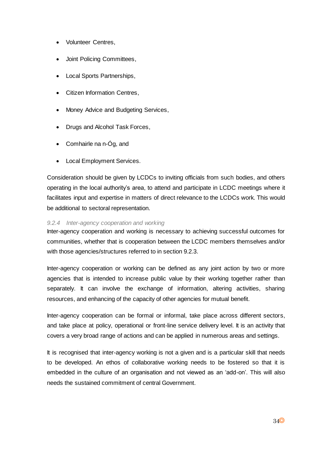- Volunteer Centres,
- Joint Policing Committees,
- Local Sports Partnerships,
- Citizen Information Centres,
- Money Advice and Budgeting Services,
- Drugs and Alcohol Task Forces,
- Comhairle na n-Óg, and
- Local Employment Services.

Consideration should be given by LCDCs to inviting officials from such bodies, and others operating in the local authority's area, to attend and participate in LCDC meetings where it facilitates input and expertise in matters of direct relevance to the LCDCs work. This would be additional to sectoral representation.

#### *9.2.4 Inter-agency cooperation and working*

Inter-agency cooperation and working is necessary to achieving successful outcomes for communities, whether that is cooperation between the LCDC members themselves and/or with those agencies/structures referred to in section 9.2.3.

Inter-agency cooperation or working can be defined as any joint action by two or more agencies that is intended to increase public value by their working together rather than separately. It can involve the exchange of information, altering activities, sharing resources, and enhancing of the capacity of other agencies for mutual benefit.

Inter-agency cooperation can be formal or informal, take place across different sectors, and take place at policy, operational or front-line service delivery level. It is an activity that covers a very broad range of actions and can be applied in numerous areas and settings.

It is recognised that inter-agency working is not a given and is a particular skill that needs to be developed. An ethos of collaborative working needs to be fostered so that it is embedded in the culture of an organisation and not viewed as an 'add-on'. This will also needs the sustained commitment of central Government.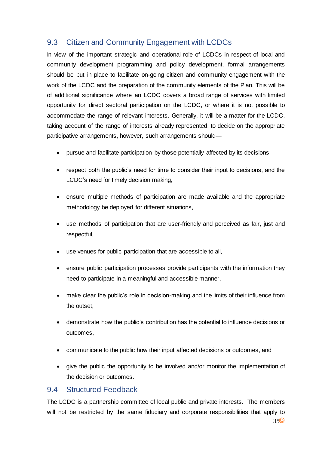# <span id="page-34-0"></span>9.3 Citizen and Community Engagement with LCDCs

In view of the important strategic and operational role of LCDCs in respect of local and community development programming and policy development, formal arrangements should be put in place to facilitate on-going citizen and community engagement with the work of the LCDC and the preparation of the community elements of the Plan. This will be of additional significance where an LCDC covers a broad range of services with limited opportunity for direct sectoral participation on the LCDC, or where it is not possible to accommodate the range of relevant interests. Generally, it will be a matter for the LCDC, taking account of the range of interests already represented, to decide on the appropriate participative arrangements, however, such arrangements should—

- pursue and facilitate participation by those potentially affected by its decisions,
- respect both the public's need for time to consider their input to decisions, and the LCDC's need for timely decision making,
- ensure multiple methods of participation are made available and the appropriate methodology be deployed for different situations,
- use methods of participation that are user-friendly and perceived as fair, just and respectful,
- use venues for public participation that are accessible to all,
- ensure public participation processes provide participants with the information they need to participate in a meaningful and accessible manner,
- make clear the public's role in decision-making and the limits of their influence from the outset,
- demonstrate how the public's contribution has the potential to influence decisions or outcomes,
- communicate to the public how their input affected decisions or outcomes, and
- give the public the opportunity to be involved and/or monitor the implementation of the decision or outcomes.

### <span id="page-34-1"></span>9.4 Structured Feedback

The LCDC is a partnership committee of local public and private interests. The members will not be restricted by the same fiduciary and corporate responsibilities that apply to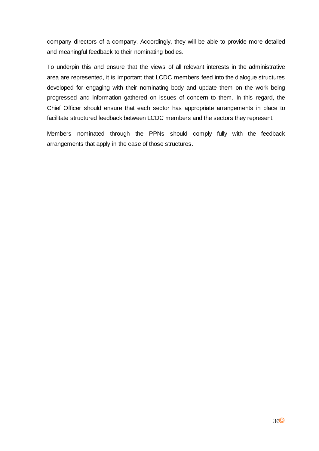company directors of a company. Accordingly, they will be able to provide more detailed and meaningful feedback to their nominating bodies.

To underpin this and ensure that the views of all relevant interests in the administrative area are represented, it is important that LCDC members feed into the dialogue structures developed for engaging with their nominating body and update them on the work being progressed and information gathered on issues of concern to them. In this regard, the Chief Officer should ensure that each sector has appropriate arrangements in place to facilitate structured feedback between LCDC members and the sectors they represent.

Members nominated through the PPNs should comply fully with the feedback arrangements that apply in the case of those structures.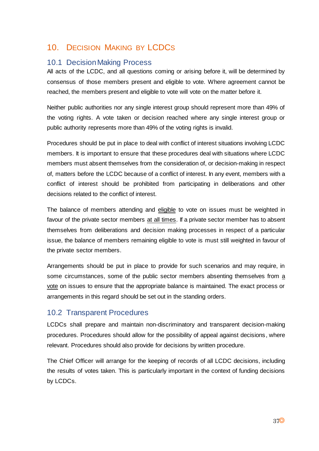# <span id="page-36-0"></span>10. DECISION MAKING BY LCDCS

### <span id="page-36-1"></span>10.1 Decision Making Process

All acts of the LCDC, and all questions coming or arising before it, will be determined by consensus of those members present and eligible to vote. Where agreement cannot be reached, the members present and eligible to vote will vote on the matter before it.

Neither public authorities nor any single interest group should represent more than 49% of the voting rights. A vote taken or decision reached where any single interest group or public authority represents more than 49% of the voting rights is invalid.

Procedures should be put in place to deal with conflict of interest situations involving LCDC members. It is important to ensure that these procedures deal with situations where LCDC members must absent themselves from the consideration of, or decision-making in respect of, matters before the LCDC because of a conflict of interest. In any event, members with a conflict of interest should be prohibited from participating in deliberations and other decisions related to the conflict of interest.

The balance of members attending and eligible to vote on issues must be weighted in favour of the private sector members at all times. If a private sector member has to absent themselves from deliberations and decision making processes in respect of a particular issue, the balance of members remaining eligible to vote is must still weighted in favour of the private sector members.

Arrangements should be put in place to provide for such scenarios and may require, in some circumstances, some of the public sector members absenting themselves from a vote on issues to ensure that the appropriate balance is maintained. The exact process or arrangements in this regard should be set out in the standing orders.

## <span id="page-36-2"></span>10.2 Transparent Procedures

LCDCs shall prepare and maintain non-discriminatory and transparent decision-making procedures. Procedures should allow for the possibility of appeal against decisions, where relevant. Procedures should also provide for decisions by written procedure.

The Chief Officer will arrange for the keeping of records of all LCDC decisions, including the results of votes taken. This is particularly important in the context of funding decisions by LCDCs.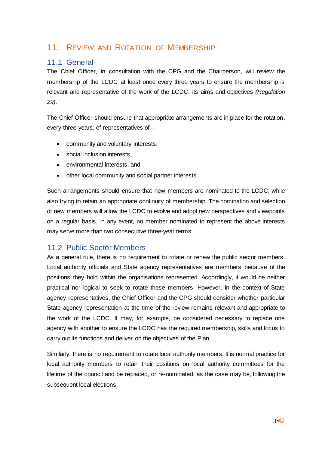# <span id="page-37-0"></span>11. REVIEW AND ROTATION OF MEMBERSHIP

### <span id="page-37-1"></span>11.1 General

The Chief Officer, in consultation with the CPG and the Chairperson, will review the membership of the LCDC at least once every three years to ensure the membership is relevant and representative of the work of the LCDC, its aims and objectives *(Regulation 29)*.

The Chief Officer should ensure that appropriate arrangements are in place for the rotation, every three-years, of representatives of—

- community and voluntary interests,
- social inclusion interests,
- environmental interests, and
- other local community and social partner interests.

Such arrangements should ensure that new members are nominated to the LCDC, while also trying to retain an appropriate continuity of membership. The nomination and selection of new members will allow the LCDC to evolve and adopt new perspectives and viewpoints on a regular basis. In any event, no member nominated to represent the above interests may serve more than two consecutive three-year terms.

### <span id="page-37-2"></span>11.2 Public Sector Members

As a general rule, there is no requirement to rotate or renew the public sector members. Local authority officials and State agency representatives are members because of the positions they hold within the organisations represented. Accordingly, it would be neither practical nor logical to seek to rotate these members. However, in the context of State agency representatives, the Chief Officer and the CPG should consider whether particular State agency representation at the time of the review remains relevant and appropriate to the work of the LCDC. It may, for example, be considered necessary to replace one agency with another to ensure the LCDC has the required membership, skills and focus to carry out its functions and deliver on the objectives of the Plan.

Similarly, there is no requirement to rotate local authority members. It is normal practice for local authority members to retain their positions on local authority committees for the lifetime of the council and be replaced, or re-nominated, as the case may be, following the subsequent local elections.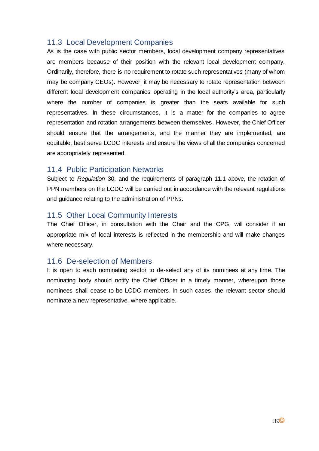### <span id="page-38-0"></span>11.3 Local Development Companies

As is the case with public sector members, local development company representatives are members because of their position with the relevant local development company. Ordinarily, therefore, there is no requirement to rotate such representatives (many of whom may be company CEOs). However, it may be necessary to rotate representation between different local development companies operating in the local authority's area, particularly where the number of companies is greater than the seats available for such representatives. In these circumstances, it is a matter for the companies to agree representation and rotation arrangements between themselves. However, the Chief Officer should ensure that the arrangements, and the manner they are implemented, are equitable, best serve LCDC interests and ensure the views of all the companies concerned are appropriately represented.

### <span id="page-38-1"></span>11.4 Public Participation Networks

Subject to *Regulation* 30, and the requirements of paragraph 11.1 above, the rotation of PPN members on the LCDC will be carried out in accordance with the relevant regulations and guidance relating to the administration of PPNs.

### <span id="page-38-2"></span>11.5 Other Local Community Interests

The Chief Officer, in consultation with the Chair and the CPG, will consider if an appropriate mix of local interests is reflected in the membership and will make changes where necessary.

### <span id="page-38-3"></span>11.6 De-selection of Members

It is open to each nominating sector to de-select any of its nominees at any time. The nominating body should notify the Chief Officer in a timely manner, whereupon those nominees shall cease to be LCDC members. In such cases, the relevant sector should nominate a new representative, where applicable.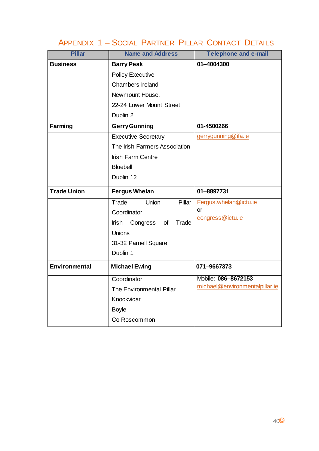# APPENDIX 1 – SOCIAL PARTNER PILLAR CONTACT DETAILS

<span id="page-39-0"></span>

| <b>Pillar</b>        | <b>Name and Address</b>         | <b>Telephone and e-mail</b>    |
|----------------------|---------------------------------|--------------------------------|
| <b>Business</b>      | <b>Barry Peak</b>               | 01-4004300                     |
|                      | <b>Policy Executive</b>         |                                |
|                      | <b>Chambers Ireland</b>         |                                |
|                      | Newmount House,                 |                                |
|                      | 22-24 Lower Mount Street        |                                |
|                      | Dublin 2                        |                                |
| Farming              | <b>Gerry Gunning</b>            | 01-4500266                     |
|                      | <b>Executive Secretary</b>      | gerrygunning@ifa.ie            |
|                      | The Irish Farmers Association   |                                |
|                      | <b>Irish Farm Centre</b>        |                                |
|                      | <b>Bluebell</b>                 |                                |
|                      | Dublin 12                       |                                |
|                      |                                 |                                |
| <b>Trade Union</b>   | <b>Fergus Whelan</b>            | 01-8897731                     |
|                      | Trade<br><b>Union</b><br>Pillar | Fergus.whelan@ictu.ie          |
|                      | Coordinator                     | or                             |
|                      | Trade<br>Irish Congress of      | congress@ictu.ie               |
|                      | Unions                          |                                |
|                      | 31-32 Parnell Square            |                                |
|                      | Dublin 1                        |                                |
| <b>Environmental</b> | <b>Michael Ewing</b>            | 071-9667373                    |
|                      | Coordinator                     | Mobile: 086-8672153            |
|                      | The Environmental Pillar        | michael@environmentalpillar.ie |
|                      | Knockvicar                      |                                |
|                      | <b>Boyle</b>                    |                                |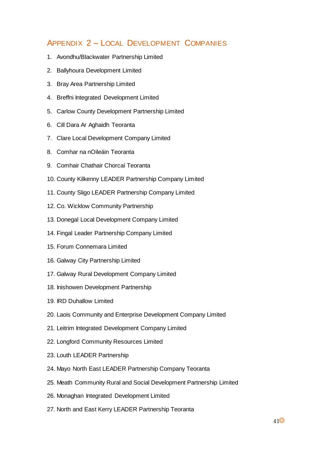# <span id="page-40-0"></span>APPENDIX 2 – LOCAL DEVELOPMENT COMPANIES

- 1. Avondhu/Blackwater Partnership Limited
- 2. Ballyhoura Development Limited
- 3. Bray Area Partnership Limited
- 4. Breffni Integrated Development Limited
- 5. Carlow County Development Partnership Limited
- 6. Cill Dara Ar Aghaidh Teoranta
- 7. Clare Local Development Company Limited
- 8. Comhar na nOileáin Teoranta
- 9. Comhair Chathair Chorcaí Teoranta
- 10. County Kilkenny LEADER Partnership Company Limited
- 11. County Sligo LEADER Partnership Company Limited
- 12. Co. Wicklow Community Partnership
- 13. Donegal Local Development Company Limited
- 14. Fingal Leader Partnership Company Limited
- 15. Forum Connemara Limited
- 16. Galway City Partnership Limited
- 17. Galway Rural Development Company Limited
- 18. Inishowen Development Partnership
- 19. IRD Duhallow Limited
- 20. Laois Community and Enterprise Development Company Limited
- 21. Leitrim Integrated Development Company Limited
- 22. Longford Community Resources Limited
- 23. Louth LEADER Partnership
- 24. Mayo North East LEADER Partnership Company Teoranta
- 25. Meath Community Rural and Social Development Partnership Limited
- 26. Monaghan Integrated Development Limited
- 27. North and East Kerry LEADER Partnership Teoranta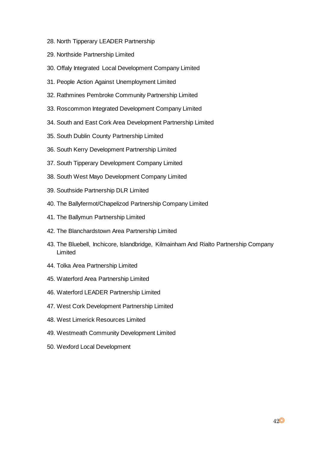- 28. North Tipperary LEADER Partnership
- 29. Northside Partnership Limited
- 30. Offaly Integrated Local Development Company Limited
- 31. People Action Against Unemployment Limited
- 32. Rathmines Pembroke Community Partnership Limited
- 33. Roscommon Integrated Development Company Limited
- 34. South and East Cork Area Development Partnership Limited
- 35. South Dublin County Partnership Limited
- 36. South Kerry Development Partnership Limited
- 37. South Tipperary Development Company Limited
- 38. South West Mayo Development Company Limited
- 39. Southside Partnership DLR Limited
- 40. The Ballyfermot/Chapelizod Partnership Company Limited
- 41. The Ballymun Partnership Limited
- 42. The Blanchardstown Area Partnership Limited
- 43. The Bluebell, Inchicore, Islandbridge, Kilmainham And Rialto Partnership Company Limited
- 44. Tolka Area Partnership Limited
- 45. Waterford Area Partnership Limited
- 46. Waterford LEADER Partnership Limited
- 47. West Cork Development Partnership Limited
- 48. West Limerick Resources Limited
- 49. Westmeath Community Development Limited
- 50. Wexford Local Development